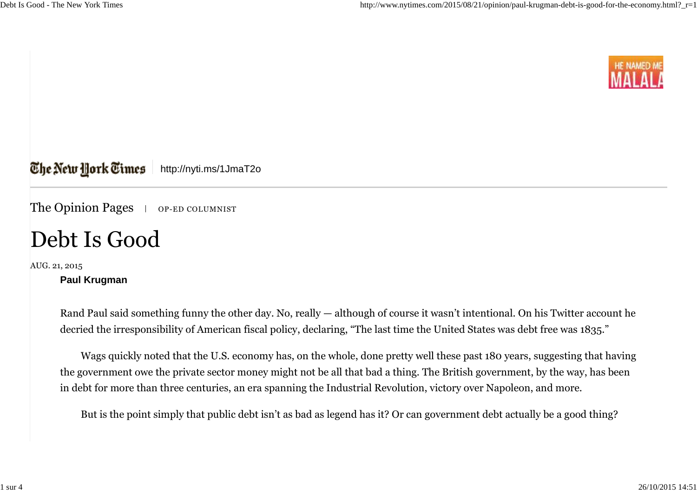

## The Netu Hork Times | http://nyti.ms/1JmaT20

The Opinion Pages | OP-ED COLUMNIST

## Debt Is Good

AUG. 21, 2015

**Paul Krugman**

Rand Paul said something funny the other day. No, really — although of course it wasn't intentional. On his Twitter account hedecried the irresponsibility of American fiscal policy, declaring, "The last time the United States was debt free was 1835."

Wags quickly noted that the U.S. economy has, on the whole, done pretty well these past 180 years, suggesting that havingthe government owe the private sector money might not be all that bad a thing. The British government, by the way, has beenin debt for more than three centuries, an era spanning the Industrial Revolution, victory over Napoleon, and more.

But is the point simply that public debt isn't as bad as legend has it? Or can government debt actually be a good thing?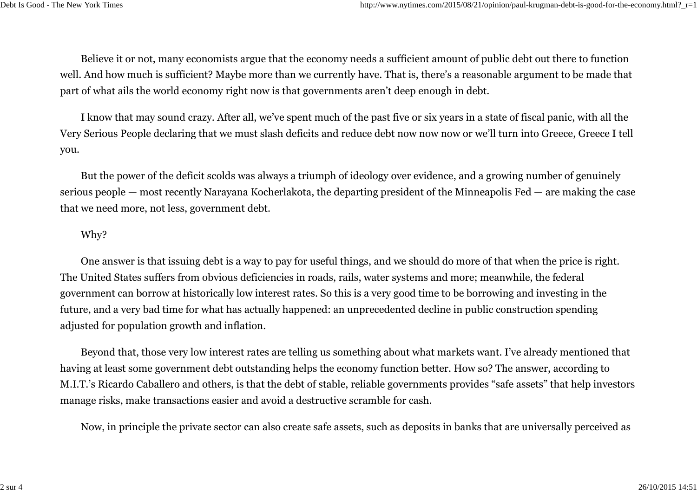Believe it or not, many economists argue that the economy needs a sufficient amount of public debt out there to function well. And how much is sufficient? Maybe more than we currently have. That is, there's a reasonable argument to be made thatpart of what ails the world economy right now is that governments aren't deep enough in debt.

I know that may sound crazy. After all, we've spent much of the past five or six years in a state of fiscal panic, with all theVery Serious People declaring that we must slash deficits and reduce debt now now now or we'll turn into Greece, Greece I tellyou.

But the power of the deficit scolds was always a triumph of ideology over evidence, and a growing number of genuinelyserious people — most recently Narayana Kocherlakota, the departing president of the Minneapolis Fed — are making the casethat we need more, not less, government debt.

## Why?

One answer is that issuing debt is a way to pay for useful things, and we should do more of that when the price is right.The United States suffers from obvious deficiencies in roads, rails, water systems and more; meanwhile, the federalgovernment can borrow at historically low interest rates. So this is a very good time to be borrowing and investing in thefuture, and a very bad time for what has actually happened: an unprecedented decline in public construction spendingadjusted for population growth and inflation.

Beyond that, those very low interest rates are telling us something about what markets want. I've already mentioned thathaving at least some government debt outstanding helps the economy function better. How so? The answer, according toM.I.T.'s Ricardo Caballero and others, is that the debt of stable, reliable governments provides "safe assets" that help investorsmanage risks, make transactions easier and avoid a destructive scramble for cash.

Now, in principle the private sector can also create safe assets, such as deposits in banks that are universally perceived as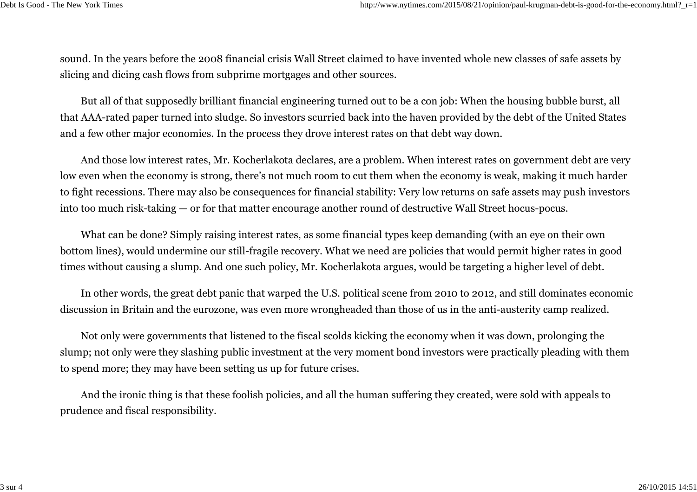sound. In the years before the 2008 financial crisis Wall Street claimed to have invented whole new classes of safe assets byslicing and dicing cash flows from subprime mortgages and other sources.

But all of that supposedly brilliant financial engineering turned out to be a con job: When the housing bubble burst, allthat AAA-rated paper turned into sludge. So investors scurried back into the haven provided by the debt of the United Statesand a few other major economies. In the process they drove interest rates on that debt way down.

And those low interest rates, Mr. Kocherlakota declares, are a problem. When interest rates on government debt are verylow even when the economy is strong, there's not much room to cut them when the economy is weak, making it much harderto fight recessions. There may also be consequences for financial stability: Very low returns on safe assets may push investorsinto too much risk-taking — or for that matter encourage another round of destructive Wall Street hocus-pocus.

What can be done? Simply raising interest rates, as some financial types keep demanding (with an eye on their own bottom lines), would undermine our still-fragile recovery. What we need are policies that would permit higher rates in goodtimes without causing a slump. And one such policy, Mr. Kocherlakota argues, would be targeting a higher level of debt.

In other words, the great debt panic that warped the U.S. political scene from 2010 to 2012, and still dominates economicdiscussion in Britain and the eurozone, was even more wrongheaded than those of us in the anti-austerity camp realized.

Not only were governments that listened to the fiscal scolds kicking the economy when it was down, prolonging theslump; not only were they slashing public investment at the very moment bond investors were practically pleading with themto spend more; they may have been setting us up for future crises.

And the ironic thing is that these foolish policies, and all the human suffering they created, were sold with appeals toprudence and fiscal responsibility.